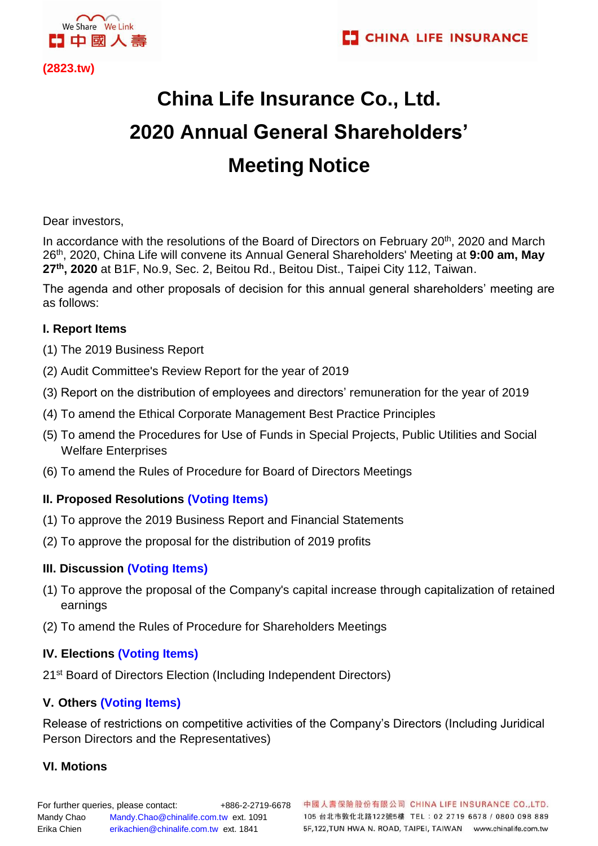

**(2823.tw)** 

# **China Life Insurance Co., Ltd. 2020 Annual General Shareholders' Meeting Notice**

Dear investors,

In accordance with the resolutions of the Board of Directors on February 20<sup>th</sup>, 2020 and March 26 th, 2020, China Life will convene its Annual General Shareholders' Meeting at **9:00 am, May 27th, 2020** at B1F, No.9, Sec. 2, Beitou Rd., Beitou Dist., Taipei City 112, Taiwan.

The agenda and other proposals of decision for this annual general shareholders' meeting are as follows:

## **I. Report Items**

- (1) The 2019 Business Report
- (2) Audit Committee's Review Report for the year of 2019
- (3) Report on the distribution of employees and directors' remuneration for the year of 2019
- (4) To amend the Ethical Corporate Management Best Practice Principles
- (5) To amend the Procedures for Use of Funds in Special Projects, Public Utilities and Social Welfare Enterprises
- (6) To amend the Rules of Procedure for Board of Directors Meetings

## **II. Proposed Resolutions (Voting Items)**

- (1) To approve the 2019 Business Report and Financial Statements
- (2) To approve the proposal for the distribution of 2019 profits

## **III. Discussion (Voting Items)**

- (1) To approve the proposal of the Company's capital increase through capitalization of retained earnings
- (2) To amend the Rules of Procedure for Shareholders Meetings

## **IV. Elections (Voting Items)**

21<sup>st</sup> Board of Directors Election (Including Independent Directors)

## **V. Others (Voting Items)**

Release of restrictions on competitive activities of the Company's Directors (Including Juridical Person Directors and the Representatives)

## **VI. Motions**